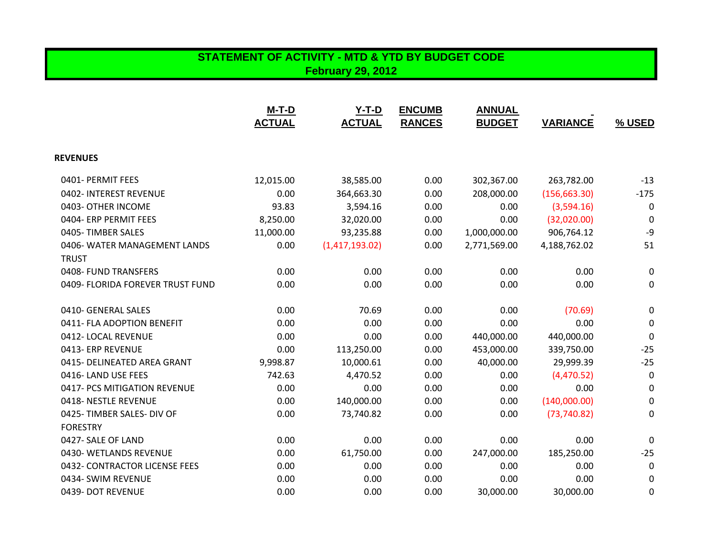## **STATEMENT OF ACTIVITY - MTD & YTD BY BUDGET CODE February 29, 2012**

|                                  | $M-T-D$<br><b>ACTUAL</b> | $Y-T-D$<br><b>ACTUAL</b> | <b>ENCUMB</b><br><b>RANCES</b> | <b>ANNUAL</b><br><b>BUDGET</b> | <b>VARIANCE</b> | % USED           |
|----------------------------------|--------------------------|--------------------------|--------------------------------|--------------------------------|-----------------|------------------|
| <b>REVENUES</b>                  |                          |                          |                                |                                |                 |                  |
| 0401- PERMIT FEES                | 12,015.00                | 38,585.00                | 0.00                           | 302,367.00                     | 263,782.00      | $-13$            |
| 0402- INTEREST REVENUE           | 0.00                     | 364,663.30               | 0.00                           | 208,000.00                     | (156, 663.30)   | $-175$           |
| 0403- OTHER INCOME               | 93.83                    | 3,594.16                 | 0.00                           | 0.00                           | (3,594.16)      | 0                |
| 0404- ERP PERMIT FEES            | 8,250.00                 | 32,020.00                | 0.00                           | 0.00                           | (32,020.00)     | 0                |
| 0405-TIMBER SALES                | 11,000.00                | 93,235.88                | 0.00                           | 1,000,000.00                   | 906,764.12      | $-9$             |
| 0406-WATER MANAGEMENT LANDS      | 0.00                     | (1,417,193.02)           | 0.00                           | 2,771,569.00                   | 4,188,762.02    | 51               |
| <b>TRUST</b>                     |                          |                          |                                |                                |                 |                  |
| 0408- FUND TRANSFERS             | 0.00                     | 0.00                     | 0.00                           | 0.00                           | 0.00            | 0                |
| 0409- FLORIDA FOREVER TRUST FUND | 0.00                     | 0.00                     | 0.00                           | 0.00                           | 0.00            | 0                |
| 0410- GENERAL SALES              | 0.00                     | 70.69                    | 0.00                           | 0.00                           | (70.69)         | 0                |
| 0411- FLA ADOPTION BENEFIT       | 0.00                     | 0.00                     | 0.00                           | 0.00                           | 0.00            | 0                |
| 0412-LOCAL REVENUE               | 0.00                     | 0.00                     | 0.00                           | 440,000.00                     | 440,000.00      | $\boldsymbol{0}$ |
| 0413- ERP REVENUE                | 0.00                     | 113,250.00               | 0.00                           | 453,000.00                     | 339,750.00      | $-25$            |
| 0415- DELINEATED AREA GRANT      | 9,998.87                 | 10,000.61                | 0.00                           | 40,000.00                      | 29,999.39       | $-25$            |
| 0416-LAND USE FEES               | 742.63                   | 4,470.52                 | 0.00                           | 0.00                           | (4,470.52)      | $\boldsymbol{0}$ |
| 0417- PCS MITIGATION REVENUE     | 0.00                     | 0.00                     | 0.00                           | 0.00                           | 0.00            | 0                |
| 0418- NESTLE REVENUE             | 0.00                     | 140,000.00               | 0.00                           | 0.00                           | (140,000.00)    | 0                |
| 0425-TIMBER SALES- DIV OF        | 0.00                     | 73,740.82                | 0.00                           | 0.00                           | (73, 740.82)    | 0                |
| <b>FORESTRY</b>                  |                          |                          |                                |                                |                 |                  |
| 0427- SALE OF LAND               | 0.00                     | 0.00                     | 0.00                           | 0.00                           | 0.00            | 0                |
| 0430- WETLANDS REVENUE           | 0.00                     | 61,750.00                | 0.00                           | 247,000.00                     | 185,250.00      | $-25$            |
| 0432- CONTRACTOR LICENSE FEES    | 0.00                     | 0.00                     | 0.00                           | 0.00                           | 0.00            | 0                |
| 0434- SWIM REVENUE               | 0.00                     | 0.00                     | 0.00                           | 0.00                           | 0.00            | 0                |
| 0439- DOT REVENUE                | 0.00                     | 0.00                     | 0.00                           | 30,000.00                      | 30,000.00       | 0                |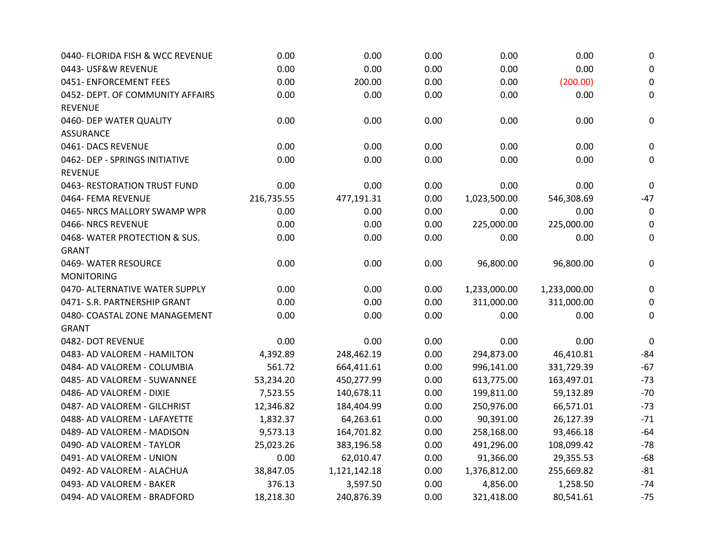| 0440- FLORIDA FISH & WCC REVENUE | 0.00       | 0.00         | 0.00 | 0.00         | 0.00         | $\boldsymbol{0}$ |
|----------------------------------|------------|--------------|------|--------------|--------------|------------------|
| 0443- USF&W REVENUE              | 0.00       | 0.00         | 0.00 | 0.00         | 0.00         | $\pmb{0}$        |
| 0451- ENFORCEMENT FEES           | 0.00       | 200.00       | 0.00 | 0.00         | (200.00)     | $\pmb{0}$        |
| 0452- DEPT. OF COMMUNITY AFFAIRS | 0.00       | 0.00         | 0.00 | 0.00         | 0.00         | 0                |
| <b>REVENUE</b>                   |            |              |      |              |              |                  |
| 0460- DEP WATER QUALITY          | 0.00       | 0.00         | 0.00 | 0.00         | 0.00         | 0                |
| <b>ASSURANCE</b>                 |            |              |      |              |              |                  |
| 0461-DACS REVENUE                | 0.00       | 0.00         | 0.00 | 0.00         | 0.00         | 0                |
| 0462- DEP - SPRINGS INITIATIVE   | 0.00       | 0.00         | 0.00 | 0.00         | 0.00         | 0                |
| <b>REVENUE</b>                   |            |              |      |              |              |                  |
| 0463- RESTORATION TRUST FUND     | 0.00       | 0.00         | 0.00 | 0.00         | 0.00         | $\mathbf 0$      |
| 0464- FEMA REVENUE               | 216,735.55 | 477,191.31   | 0.00 | 1,023,500.00 | 546,308.69   | $-47$            |
| 0465- NRCS MALLORY SWAMP WPR     | 0.00       | 0.00         | 0.00 | 0.00         | 0.00         | $\mathbf 0$      |
| 0466-NRCS REVENUE                | 0.00       | 0.00         | 0.00 | 225,000.00   | 225,000.00   | 0                |
| 0468-WATER PROTECTION & SUS.     | 0.00       | 0.00         | 0.00 | 0.00         | 0.00         | 0                |
| <b>GRANT</b>                     |            |              |      |              |              |                  |
| 0469- WATER RESOURCE             | 0.00       | 0.00         | 0.00 | 96,800.00    | 96,800.00    | 0                |
| <b>MONITORING</b>                |            |              |      |              |              |                  |
| 0470- ALTERNATIVE WATER SUPPLY   | 0.00       | 0.00         | 0.00 | 1,233,000.00 | 1,233,000.00 | 0                |
| 0471- S.R. PARTNERSHIP GRANT     | 0.00       | 0.00         | 0.00 | 311,000.00   | 311,000.00   | 0                |
| 0480- COASTAL ZONE MANAGEMENT    | 0.00       | 0.00         | 0.00 | 0.00         | 0.00         | $\mathbf 0$      |
| <b>GRANT</b>                     |            |              |      |              |              |                  |
| 0482- DOT REVENUE                | 0.00       | 0.00         | 0.00 | 0.00         | 0.00         | $\pmb{0}$        |
| 0483- AD VALOREM - HAMILTON      | 4,392.89   | 248,462.19   | 0.00 | 294,873.00   | 46,410.81    | $-84$            |
| 0484- AD VALOREM - COLUMBIA      | 561.72     | 664,411.61   | 0.00 | 996,141.00   | 331,729.39   | $-67$            |
| 0485- AD VALOREM - SUWANNEE      | 53,234.20  | 450,277.99   | 0.00 | 613,775.00   | 163,497.01   | $-73$            |
| 0486- AD VALOREM - DIXIE         | 7,523.55   | 140,678.11   | 0.00 | 199,811.00   | 59,132.89    | $-70$            |
| 0487- AD VALOREM - GILCHRIST     | 12,346.82  | 184,404.99   | 0.00 | 250,976.00   | 66,571.01    | $-73$            |
| 0488- AD VALOREM - LAFAYETTE     | 1,832.37   | 64,263.61    | 0.00 | 90,391.00    | 26,127.39    | $-71$            |
| 0489- AD VALOREM - MADISON       | 9,573.13   | 164,701.82   | 0.00 | 258,168.00   | 93,466.18    | $-64$            |
| 0490- AD VALOREM - TAYLOR        | 25,023.26  | 383,196.58   | 0.00 | 491,296.00   | 108,099.42   | $-78$            |
| 0491- AD VALOREM - UNION         | 0.00       | 62,010.47    | 0.00 | 91,366.00    | 29,355.53    | $-68$            |
| 0492- AD VALOREM - ALACHUA       | 38,847.05  | 1,121,142.18 | 0.00 | 1,376,812.00 | 255,669.82   | $-81$            |
| 0493- AD VALOREM - BAKER         | 376.13     | 3,597.50     | 0.00 | 4,856.00     | 1,258.50     | $-74$            |
| 0494- AD VALOREM - BRADFORD      | 18,218.30  | 240,876.39   | 0.00 | 321,418.00   | 80,541.61    | $-75$            |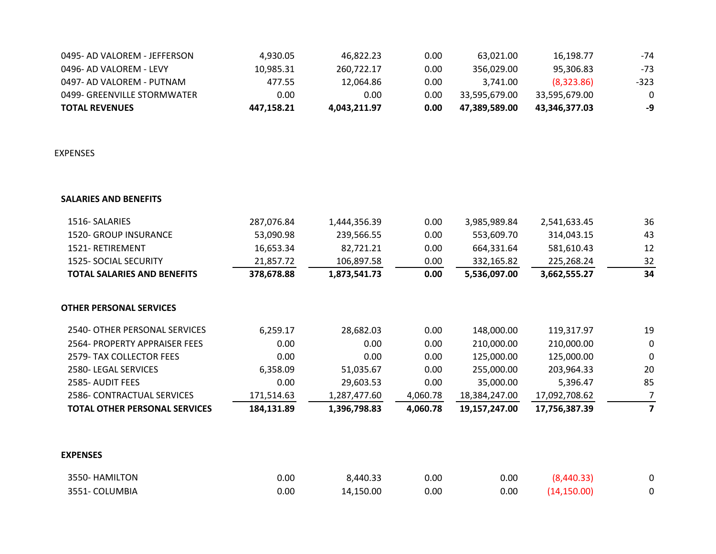| <b>TOTAL REVENUES</b>        | 447.158.21 | 4.043.211.97 | 0.00 | 47.389.589.00 | 43.346.377.03 | -9       |
|------------------------------|------------|--------------|------|---------------|---------------|----------|
| 0499- GREENVILLE STORMWATER  | 0.00       | 0.00         | 0.00 | 33.595.679.00 | 33.595.679.00 | $\Omega$ |
| 0497- AD VALOREM - PUTNAM    | 477.55     | 12.064.86    | 0.00 | 3.741.00      | (8,323.86)    | -323.    |
| 0496- AD VALOREM - LEVY      | 10.985.31  | 260.722.17   | 0.00 | 356.029.00    | 95.306.83     | -73      |
| 0495- AD VALOREM - JEFFERSON | 4.930.05   | 46.822.23    | 0.00 | 63.021.00     | 16.198.77     | -74      |

EXPENSES

| <b>SALARIES AND BENEFITS</b> |
|------------------------------|
|------------------------------|

| 1516-SALARIES                        | 287,076.84 | 1,444,356.39 | 0.00     | 3,985,989.84  | 2,541,633.45  | 36          |
|--------------------------------------|------------|--------------|----------|---------------|---------------|-------------|
| <b>1520- GROUP INSURANCE</b>         | 53,090.98  | 239,566.55   | 0.00     | 553,609.70    | 314,043.15    | 43          |
| 1521-RETIREMENT                      | 16,653.34  | 82,721.21    | 0.00     | 664,331.64    | 581,610.43    | 12          |
| <b>1525- SOCIAL SECURITY</b>         | 21,857.72  | 106,897.58   | 0.00     | 332,165.82    | 225,268.24    | 32          |
| <b>TOTAL SALARIES AND BENEFITS</b>   | 378,678.88 | 1,873,541.73 | 0.00     | 5,536,097.00  | 3,662,555.27  | 34          |
| OTHER PERSONAL SERVICES              |            |              |          |               |               |             |
| 2540- OTHER PERSONAL SERVICES        | 6,259.17   | 28,682.03    | 0.00     | 148,000.00    | 119,317.97    | 19          |
| 2564- PROPERTY APPRAISER FEES        | 0.00       | 0.00         | 0.00     | 210,000.00    | 210,000.00    | $\mathbf 0$ |
| 2579- TAX COLLECTOR FEES             | 0.00       | 0.00         | 0.00     | 125,000.00    | 125,000.00    | 0           |
| 2580-LEGAL SERVICES                  | 6,358.09   | 51,035.67    | 0.00     | 255,000.00    | 203,964.33    | 20          |
| 2585- AUDIT FEES                     | 0.00       | 29,603.53    | 0.00     | 35,000.00     | 5,396.47      | 85          |
| 2586- CONTRACTUAL SERVICES           | 171,514.63 | 1,287,477.60 | 4,060.78 | 18,384,247.00 | 17,092,708.62 | 7           |
| <b>TOTAL OTHER PERSONAL SERVICES</b> | 184,131.89 | 1,396,798.83 | 4,060.78 | 19,157,247.00 | 17,756,387.39 | 7           |

## **EXPENSES**

| 3550- HAMILTON | 0.00 | 3,440.33  | 0.00 | 0.00 | (8,440.33)   |  |
|----------------|------|-----------|------|------|--------------|--|
| 3551- COLUMBIA | 0.00 | 14,150.00 | 0.00 | 0.00 | (14, 150.00) |  |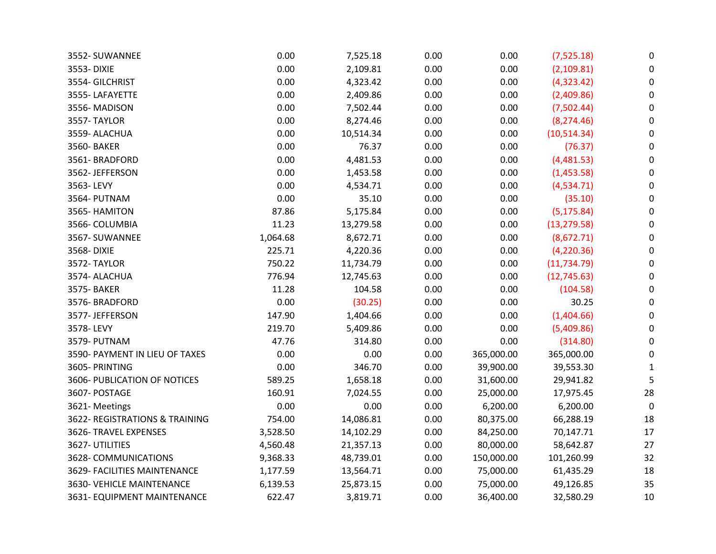| 3552- SUWANNEE                 | 0.00     | 7,525.18  | 0.00 | 0.00       | (7,525.18)   | 0            |
|--------------------------------|----------|-----------|------|------------|--------------|--------------|
| 3553-DIXIE                     | 0.00     | 2,109.81  | 0.00 | 0.00       | (2,109.81)   | 0            |
| 3554- GILCHRIST                | 0.00     | 4,323.42  | 0.00 | 0.00       | (4,323.42)   | 0            |
| 3555-LAFAYETTE                 | 0.00     | 2,409.86  | 0.00 | 0.00       | (2,409.86)   | 0            |
| 3556-MADISON                   | 0.00     | 7,502.44  | 0.00 | 0.00       | (7,502.44)   | $\mathbf 0$  |
| 3557-TAYLOR                    | 0.00     | 8,274.46  | 0.00 | 0.00       | (8, 274.46)  | 0            |
| 3559- ALACHUA                  | 0.00     | 10,514.34 | 0.00 | 0.00       | (10, 514.34) | 0            |
| 3560- BAKER                    | 0.00     | 76.37     | 0.00 | 0.00       | (76.37)      | 0            |
| 3561-BRADFORD                  | 0.00     | 4,481.53  | 0.00 | 0.00       | (4,481.53)   | $\Omega$     |
| 3562- JEFFERSON                | 0.00     | 1,453.58  | 0.00 | 0.00       | (1,453.58)   | 0            |
| 3563-LEVY                      | 0.00     | 4,534.71  | 0.00 | 0.00       | (4,534.71)   | 0            |
| 3564- PUTNAM                   | 0.00     | 35.10     | 0.00 | 0.00       | (35.10)      | 0            |
| 3565- HAMITON                  | 87.86    | 5,175.84  | 0.00 | 0.00       | (5, 175.84)  | 0            |
| 3566- COLUMBIA                 | 11.23    | 13,279.58 | 0.00 | 0.00       | (13, 279.58) | 0            |
| 3567- SUWANNEE                 | 1,064.68 | 8,672.71  | 0.00 | 0.00       | (8,672.71)   | 0            |
| 3568-DIXIE                     | 225.71   | 4,220.36  | 0.00 | 0.00       | (4, 220.36)  | 0            |
| 3572-TAYLOR                    | 750.22   | 11,734.79 | 0.00 | 0.00       | (11, 734.79) | 0            |
| 3574- ALACHUA                  | 776.94   | 12,745.63 | 0.00 | 0.00       | (12, 745.63) | 0            |
| 3575- BAKER                    | 11.28    | 104.58    | 0.00 | 0.00       | (104.58)     | $\pmb{0}$    |
| 3576-BRADFORD                  | 0.00     | (30.25)   | 0.00 | 0.00       | 30.25        | 0            |
| 3577- JEFFERSON                | 147.90   | 1,404.66  | 0.00 | 0.00       | (1,404.66)   | 0            |
| 3578-LEVY                      | 219.70   | 5,409.86  | 0.00 | 0.00       | (5,409.86)   | $\Omega$     |
| 3579- PUTNAM                   | 47.76    | 314.80    | 0.00 | 0.00       | (314.80)     | 0            |
| 3590- PAYMENT IN LIEU OF TAXES | 0.00     | 0.00      | 0.00 | 365,000.00 | 365,000.00   | 0            |
| 3605- PRINTING                 | 0.00     | 346.70    | 0.00 | 39,900.00  | 39,553.30    | $\mathbf{1}$ |
| 3606- PUBLICATION OF NOTICES   | 589.25   | 1,658.18  | 0.00 | 31,600.00  | 29,941.82    | 5            |
| 3607- POSTAGE                  | 160.91   | 7,024.55  | 0.00 | 25,000.00  | 17,975.45    | 28           |
| 3621-Meetings                  | 0.00     | 0.00      | 0.00 | 6,200.00   | 6,200.00     | 0            |
| 3622- REGISTRATIONS & TRAINING | 754.00   | 14,086.81 | 0.00 | 80,375.00  | 66,288.19    | 18           |
| 3626- TRAVEL EXPENSES          | 3,528.50 | 14,102.29 | 0.00 | 84,250.00  | 70,147.71    | 17           |
| 3627- UTILITIES                | 4,560.48 | 21,357.13 | 0.00 | 80,000.00  | 58,642.87    | 27           |
| 3628- COMMUNICATIONS           | 9,368.33 | 48,739.01 | 0.00 | 150,000.00 | 101,260.99   | 32           |
| 3629- FACILITIES MAINTENANCE   | 1,177.59 | 13,564.71 | 0.00 | 75,000.00  | 61,435.29    | 18           |
| 3630- VEHICLE MAINTENANCE      | 6,139.53 | 25,873.15 | 0.00 | 75,000.00  | 49,126.85    | 35           |
| 3631- EQUIPMENT MAINTENANCE    | 622.47   | 3,819.71  | 0.00 | 36,400.00  | 32,580.29    | 10           |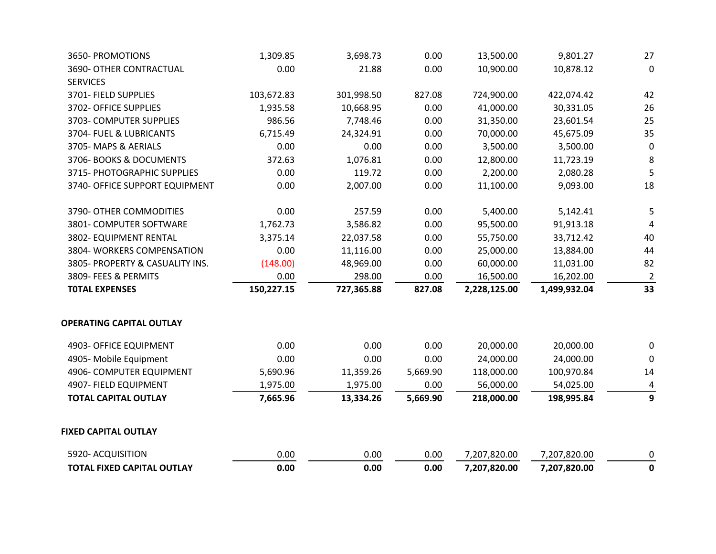| <b>TOTAL FIXED CAPITAL OUTLAY</b>       | 0.00       | 0.00       | 0.00     | 7,207,820.00 | 7,207,820.00 | $\mathbf 0$      |
|-----------------------------------------|------------|------------|----------|--------------|--------------|------------------|
| 5920- ACQUISITION                       | 0.00       | 0.00       | 0.00     | 7,207,820.00 | 7,207,820.00 | $\boldsymbol{0}$ |
| <b>FIXED CAPITAL OUTLAY</b>             |            |            |          |              |              |                  |
| <b>TOTAL CAPITAL OUTLAY</b>             | 7,665.96   | 13,334.26  | 5,669.90 | 218,000.00   | 198,995.84   | $\overline{9}$   |
| 4907- FIELD EQUIPMENT                   | 1,975.00   | 1,975.00   | 0.00     | 56,000.00    | 54,025.00    | 4                |
| 4906- COMPUTER EQUIPMENT                | 5,690.96   | 11,359.26  | 5,669.90 | 118,000.00   | 100,970.84   | 14               |
| 4905- Mobile Equipment                  | 0.00       | 0.00       | 0.00     | 24,000.00    | 24,000.00    | $\mathbf 0$      |
| 4903- OFFICE EQUIPMENT                  | 0.00       | 0.00       | 0.00     | 20,000.00    | 20,000.00    | $\pmb{0}$        |
| <b>OPERATING CAPITAL OUTLAY</b>         |            |            |          |              |              |                  |
| <b>TOTAL EXPENSES</b>                   | 150,227.15 | 727,365.88 | 827.08   | 2,228,125.00 | 1,499,932.04 | 33               |
| 3809- FEES & PERMITS                    | 0.00       | 298.00     | 0.00     | 16,500.00    | 16,202.00    | $\overline{2}$   |
| 3805- PROPERTY & CASUALITY INS.         | (148.00)   | 48,969.00  | 0.00     | 60,000.00    | 11,031.00    | 82               |
| 3804- WORKERS COMPENSATION              | 0.00       | 11,116.00  | 0.00     | 25,000.00    | 13,884.00    | 44               |
| 3802- EQUIPMENT RENTAL                  | 3,375.14   | 22,037.58  | 0.00     | 55,750.00    | 33,712.42    | 40               |
| 3801- COMPUTER SOFTWARE                 | 1,762.73   | 3,586.82   | 0.00     | 95,500.00    | 91,913.18    | $\overline{4}$   |
| 3790- OTHER COMMODITIES                 | 0.00       | 257.59     | 0.00     | 5,400.00     | 5,142.41     | 5                |
| 3740- OFFICE SUPPORT EQUIPMENT          | 0.00       | 2,007.00   | 0.00     | 11,100.00    | 9,093.00     | 18               |
| 3715- PHOTOGRAPHIC SUPPLIES             | 0.00       | 119.72     | 0.00     | 2,200.00     | 2,080.28     | 5                |
| 3706- BOOKS & DOCUMENTS                 | 372.63     | 1,076.81   | 0.00     | 12,800.00    | 11,723.19    | 8                |
| 3705-MAPS & AERIALS                     | 0.00       | 0.00       | 0.00     | 3,500.00     | 3,500.00     | $\mathbf 0$      |
| 3704- FUEL & LUBRICANTS                 | 6,715.49   | 24,324.91  | 0.00     | 70,000.00    | 45,675.09    | 35               |
| 3703- COMPUTER SUPPLIES                 | 986.56     | 7,748.46   | 0.00     | 31,350.00    | 23,601.54    | 25               |
| 3702- OFFICE SUPPLIES                   | 1,935.58   | 10,668.95  | 0.00     | 41,000.00    | 30,331.05    | 26               |
| <b>SERVICES</b><br>3701- FIELD SUPPLIES | 103,672.83 | 301,998.50 | 827.08   | 724,900.00   | 422,074.42   | 42               |
| 3690- OTHER CONTRACTUAL                 | 0.00       | 21.88      | 0.00     | 10,900.00    | 10,878.12    | $\pmb{0}$        |
| 3650- PROMOTIONS                        | 1,309.85   | 3,698.73   | 0.00     | 13,500.00    | 9,801.27     | 27               |
|                                         |            |            |          |              |              |                  |